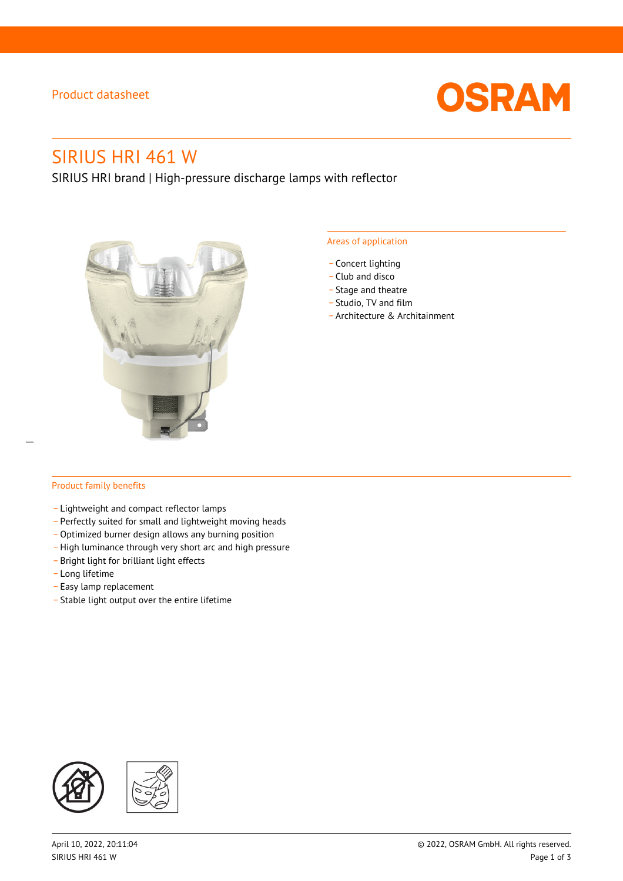### Product datasheet



# SIRIUS HRI 461 W

SIRIUS HRI brand | High-pressure discharge lamps with reflector



#### Areas of application

- Concert lighting
- \_ Club and disco
- Stage and theatre
- \_ Studio, TV and film
- \_ Architecture & Architainment

#### Product family benefits

- \_ Lightweight and compact reflector lamps
- \_ Perfectly suited for small and lightweight moving heads
- Optimized burner design allows any burning position
- High luminance through very short arc and high pressure
- \_ Bright light for brilliant light effects
- \_ Long lifetime
- \_ Easy lamp replacement
- \_ Stable light output over the entire lifetime

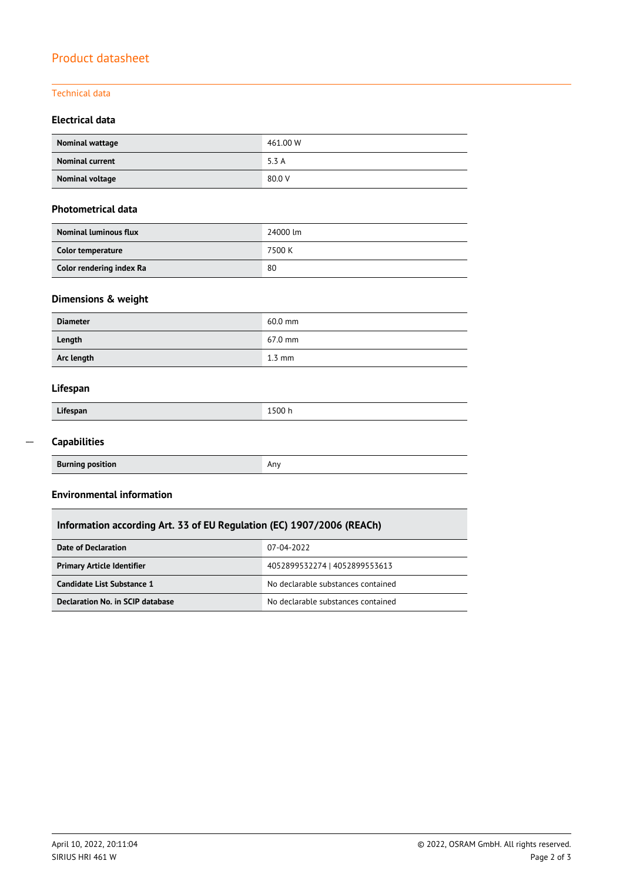## Product datasheet

#### Technical data

### **Electrical data**

| Nominal wattage        | 461.00 W |
|------------------------|----------|
| <b>Nominal current</b> | 5.3 A    |
| Nominal voltage        | 80.0 V   |

#### **Photometrical data**

| <b>Nominal luminous flux</b> | 24000 lm |
|------------------------------|----------|
| Color temperature            | 7500 K   |
| Color rendering index Ra     | 80       |

### **Dimensions & weight**

| <b>Diameter</b> | $60.0$ mm        |
|-----------------|------------------|
| Length          | 67.0 mm          |
| Arc length      | $1.3 \text{ mm}$ |

#### **Lifespan**

| Lifespan | 1500 h |
|----------|--------|
|          |        |

#### **Capabilities**  $\overline{a}$

| <b>Burning position</b> | Anv |
|-------------------------|-----|

#### **Environmental information**

### **Information according Art. 33 of EU Regulation (EC) 1907/2006 (REACh)**

| Date of Declaration               | 07-04-2022                         |  |
|-----------------------------------|------------------------------------|--|
| <b>Primary Article Identifier</b> | 4052899532274   4052899553613      |  |
| Candidate List Substance 1        | No declarable substances contained |  |
| Declaration No. in SCIP database  | No declarable substances contained |  |